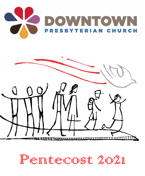



Pentecost 2021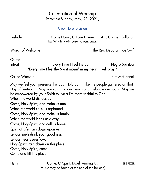## Celebration of Worship Pentecost Sunday, May, 23, 2021,

[Click Here to Listen](https://downtownpresbyterian.org/listentoworship/)

| Prelude | Come Down, O Love Divine               | Arr. Charles Callahan |
|---------|----------------------------------------|-----------------------|
|         | Lee Wright, violin, Jason Cloen, organ |                       |

Words of Welcome The Rev. Deborah Fae Swift

Chime

Introit **Exery Time I Feel the Spirit Community** Regro Spiritual "Every time I feel the Spirit movin' in my heart, I will pray."

Call to Worship **Kim McConnell** 

May we feel your presence this day, Holy Spirit, like the people gathered on that Day of Pentecost. May you rush into our hearts and inebriate our souls. May we be empowered by your Spirit to live a life more faithful to God. When the world divides us

## Come, Holy Spirit, and make us one. When the world calls us orphaned Come, Holy Spirit, and make us family. When the world leads us astray Come, Holy Spirit, and call us home. Spirit of Life, rain down upon us. Let our souls drink your goodness. Let our hearts overflow. Holy Spirit, rain down on this place! Come, Holy Spirit, come!

Come and fill this place!

Hymn Come, O Spirit, Dwell Among Us EBENEZER (Music may be found at the end of the bulletin)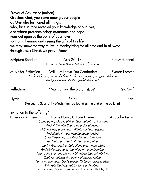Prayer of Assurance (unison) Gracious God, you come among your people as One who fashioned all things, who, face-to-face revealed your knowledge of our lives, and whose presence brings assurance and hope. Pour out upon us the Spirit of your love so that in hearing and seeing the gifts of this life, we may know the way to live in thanksgiving for all time and in all ways; through Jesus Christ, we pray. Amen. Scripture Reading The Acts 2:1-13 Kim McConnell From the New Revised Standard Version

Music for Reflection I Will Not Leave You Comfortless Everett Titcomb "I will not leave you comfortless, I will come to you yet again: Alleluia. And your heart, shall be joyful. Alleluia."

Reflection "Maintaining the Status Quo?" Rev. Swift

Hymn spirit Spirit Spirit Spirit Spirit Spirit Spirit Spirit Spirit Spirit Spirit (Verses 1, 3, and 4 - Music may be found at the end of the bulletin)

| Invitation to the Offering* |                                                                  |                   |
|-----------------------------|------------------------------------------------------------------|-------------------|
| Offertory Anthem            | Come Down, O Love Divine                                         | Arr. John Leavitt |
|                             | "Come down, O Love divine, Seek out this soul of mine            |                   |
|                             | And visit it with Your own ardor glowing;                        |                   |
|                             | O Comforter, draw near, Within my heart appear,                  |                   |
|                             | And kindle it, Your holy flame bestowing.                        |                   |
|                             | O let it freely burn, Till earthly passions turn                 |                   |
|                             | To dust and ashes in its heat consuming;                         |                   |
|                             | And let Your glorious light Shine ever on my sight,              |                   |
|                             | And clothe me round, the while my path illuming.                 |                   |
|                             | And so the yearning strong With which the soul will long         |                   |
|                             | Shall far outpass the power of human telling;                    |                   |
|                             | For none can guess God's grace, Till Love creates a place        |                   |
|                             | Wherein the Holy Spirit makes a dwelling."                       |                   |
|                             | Text: Bianco da Siena, Trans. Richard Frederick Littledale, alt. |                   |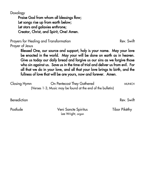Doxology

Praise God from whom all blessings flow; Let songs rise up from earth below; Let stars and galaxies enthrone; Creator, Christ, and Spirit, One! Amen.

Prayers for Healing and Transformation example and  $\Gamma$  Rev. Swift

Prayer of Jesus

Blessed One, our source and support, holy is your name. May your love be enacted in the world. May your will be done on earth as in heaven. Give us today our daily bread and forgive us our sins as we forgive those who sin against us. Save us in the time of trial and deliver us from evil. For all that we do in your love, and all that your love brings to birth, and the fullness of love that will be are yours, now and forever. Amen.

Closing Hymn **On Pentecost They Gathered** MUNICH (Verses 1-3, Music may be found at the end of the bulletin)

Benediction Rev. Swift

Postlude Veni Sancte Spiritus Tibor Pikéthy Lee Wright, organ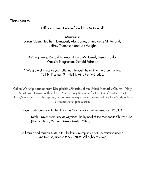Thank you to. . .

## Officiants: Rev. DebSwift and Kim McConnell

Musicians: Jason Cloen, Heather Holmquest, Alan Jones, Emmalouise St. Amand, Jeffrey Thompson and Lee Wright

AV Engineers: Donald Fairman, David McDowell, Joseph Taylor Website integration: Donald Fairman

\* We gratefully receive your offerings through the mail to the church office: 121 N. Fitzhugh St, 14614, Attn: Penny Crudup.

Call to Worship adapted from Discipleship Ministries of the United Methodist Church: "Holy Spirit, Rain Down on This Place: 21st Century Resource for the Day of Pentecost" at https://www.umcdiscipleship.org/resources/holy-spirit-rain-down-on-this-place-21st-centuryafricana-worship-resources

Prayer of Assurance adapted from the *Glory to God* online resources. PC(USA)

Lords' Prayer From *Voices Together*, the hymnal of the Mennonite Church USA (Harrisonburg, Virginia: MennoMedia, 2020).

All music and musical texts in this bulletin are reprinted with permission under One License, License # A-707805. All rights reserved.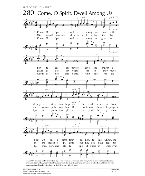

This 20th-century text was written by a Presbyterian layperson and poet, who in her later years became<br>interested in writing hymns for the seasons of the church year and prepared a collection of them for her congregation. It pairs effectively with this sturdy Welsh tune.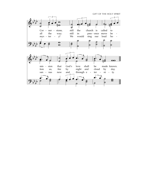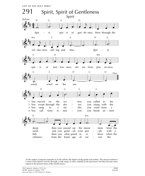

As the author/composer reminds us in the refrain, the Spirit is both gentle and restless. The stanzas reinforce a sense of the Spirit's activity through a wide range of verbs, initially in the past tense; but they become more urgent in the present tense of the fourth stanza.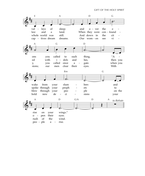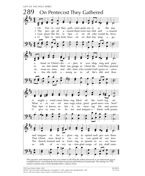

This narrative and interpretive text was written to fill what the author perceived as an unfortunate gap in available hymns concerning the Holy Spirit in general and Pentecost in particular. The setting of a 17thcentury German tune is from Mendelssohn's oratorio Elijah.